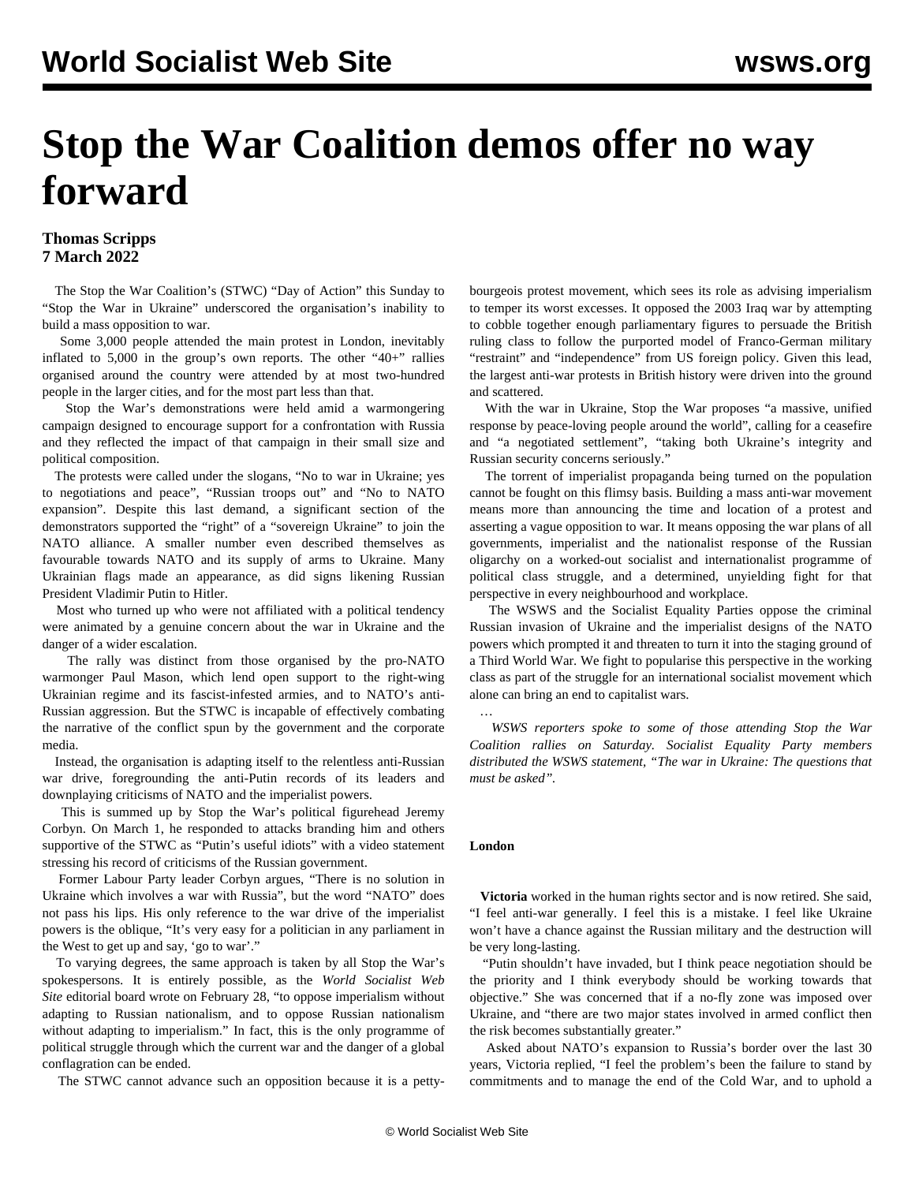# **Stop the War Coalition demos offer no way forward**

### **Thomas Scripps 7 March 2022**

 The Stop the War Coalition's (STWC) "Day of Action" this Sunday to "Stop the War in Ukraine" underscored the organisation's inability to build a mass opposition to war.

 Some 3,000 people attended the main protest in London, inevitably inflated to 5,000 in the group's own reports. The other "40+" rallies organised around the country were attended by at most two-hundred people in the larger cities, and for the most part less than that.

 Stop the War's demonstrations were held amid a warmongering campaign designed to encourage support for a confrontation with Russia and they reflected the impact of that campaign in their small size and political composition.

 The protests were called under the slogans, "No to war in Ukraine; yes to negotiations and peace", "Russian troops out" and "No to NATO expansion". Despite this last demand, a significant section of the demonstrators supported the "right" of a "sovereign Ukraine" to join the NATO alliance. A smaller number even described themselves as favourable towards NATO and its supply of arms to Ukraine. Many Ukrainian flags made an appearance, as did signs likening Russian President Vladimir Putin to Hitler.

 Most who turned up who were not affiliated with a political tendency were animated by a genuine concern about the war in Ukraine and the danger of a wider escalation.

 The rally was distinct from those organised by the pro-NATO warmonger Paul Mason, which lend open support to the right-wing Ukrainian regime and its fascist-infested armies, and to NATO's anti-Russian aggression. But the STWC is incapable of effectively combating the narrative of the conflict spun by the government and the corporate media.

 Instead, the organisation is adapting itself to the relentless anti-Russian war drive, foregrounding the anti-Putin records of its leaders and downplaying criticisms of NATO and the imperialist powers.

 This is summed up by Stop the War's political figurehead Jeremy Corbyn. On March 1, he responded to attacks branding him and others supportive of the STWC as "Putin's useful idiots" with a video statement stressing his record of criticisms of the Russian government.

 Former Labour Party leader Corbyn argues, "There is no solution in Ukraine which involves a war with Russia", but the word "NATO" does not pass his lips. His only reference to the war drive of the imperialist powers is the oblique, "It's very easy for a politician in any parliament in the West to get up and say, 'go to war'."

 To varying degrees, the same approach is taken by all Stop the War's spokespersons. It is entirely possible, as the *World Socialist Web Site* editorial board wrote on February 28, "to oppose imperialism without adapting to Russian nationalism, and to oppose Russian nationalism without adapting to imperialism." In fact, this is the only programme of political struggle through which the current war and the danger of a global conflagration can be ended.

The STWC cannot advance such an opposition because it is a petty-

bourgeois protest movement, which sees its role as advising imperialism to temper its worst excesses. It opposed the 2003 Iraq war by attempting to cobble together enough parliamentary figures to persuade the British ruling class to follow the purported model of Franco-German military "restraint" and "independence" from US foreign policy. Given this lead, the largest anti-war protests in British history were driven into the ground and scattered.

 With the war in Ukraine, Stop the War proposes "a massive, unified response by peace-loving people around the world", calling for a ceasefire and "a negotiated settlement", "taking both Ukraine's integrity and Russian security concerns seriously."

 The torrent of imperialist propaganda being turned on the population cannot be fought on this flimsy basis. Building a mass anti-war movement means more than announcing the time and location of a protest and asserting a vague opposition to war. It means opposing the war plans of all governments, imperialist and the nationalist response of the Russian oligarchy on a worked-out socialist and internationalist programme of political class struggle, and a determined, unyielding fight for that perspective in every neighbourhood and workplace.

 The WSWS and the Socialist Equality Parties oppose the criminal Russian invasion of Ukraine and the imperialist designs of the NATO powers which prompted it and threaten to turn it into the staging ground of a Third World War. We fight to popularise this perspective in the working class as part of the struggle for an international socialist movement which alone can bring an end to capitalist wars.

 *WSWS reporters spoke to some of those attending Stop the War Coalition rallies on Saturday. Socialist Equality Party members distributed the WSWS statement, ["The war in Ukraine: The questions that](/en/articles/2022/03/04/pers-m04.html) [must be asked"](/en/articles/2022/03/04/pers-m04.html).*

#### **London**

…

 **Victoria** worked in the human rights sector and is now retired. She said, "I feel anti-war generally. I feel this is a mistake. I feel like Ukraine won't have a chance against the Russian military and the destruction will be very long-lasting.

 "Putin shouldn't have invaded, but I think peace negotiation should be the priority and I think everybody should be working towards that objective." She was concerned that if a no-fly zone was imposed over Ukraine, and "there are two major states involved in armed conflict then the risk becomes substantially greater."

 Asked about NATO's expansion to Russia's border over the last 30 years, Victoria replied, "I feel the problem's been the failure to stand by commitments and to manage the end of the Cold War, and to uphold a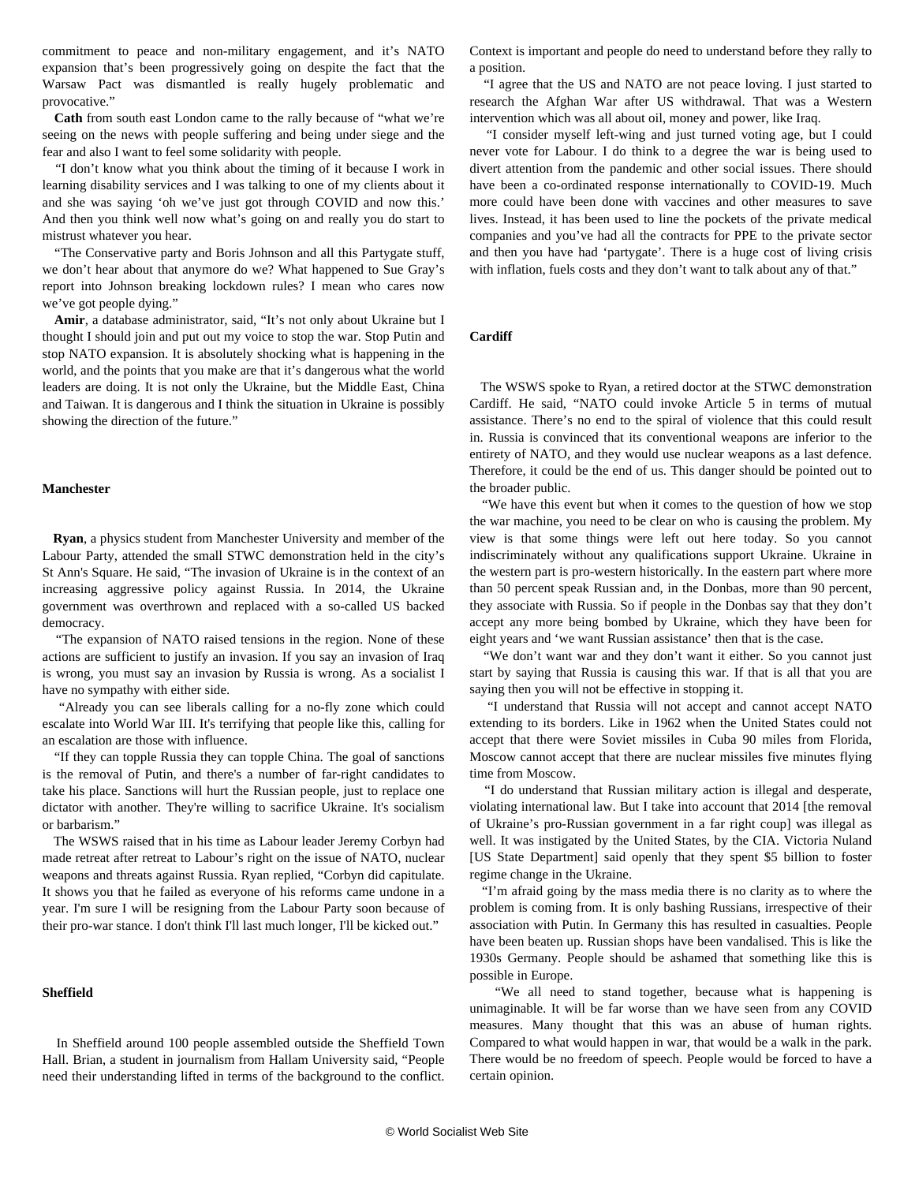commitment to peace and non-military engagement, and it's NATO expansion that's been progressively going on despite the fact that the Warsaw Pact was dismantled is really hugely problematic and provocative."

 **Cath** from south east London came to the rally because of "what we're seeing on the news with people suffering and being under siege and the fear and also I want to feel some solidarity with people.

 "I don't know what you think about the timing of it because I work in learning disability services and I was talking to one of my clients about it and she was saying 'oh we've just got through COVID and now this.' And then you think well now what's going on and really you do start to mistrust whatever you hear.

 "The Conservative party and Boris Johnson and all this Partygate stuff, we don't hear about that anymore do we? What happened to Sue Gray's report into Johnson breaking lockdown rules? I mean who cares now we've got people dying."

 **Amir**, a database administrator, said, "It's not only about Ukraine but I thought I should join and put out my voice to stop the war. Stop Putin and stop NATO expansion. It is absolutely shocking what is happening in the world, and the points that you make are that it's dangerous what the world leaders are doing. It is not only the Ukraine, but the Middle East, China and Taiwan. It is dangerous and I think the situation in Ukraine is possibly showing the direction of the future."

#### **Manchester**

 **Ryan**, a physics student from Manchester University and member of the Labour Party, attended the small STWC demonstration held in the city's St Ann's Square. He said, "The invasion of Ukraine is in the context of an increasing aggressive policy against Russia. In 2014, the Ukraine government was overthrown and replaced with a so-called US backed democracy.

 "The expansion of NATO raised tensions in the region. None of these actions are sufficient to justify an invasion. If you say an invasion of Iraq is wrong, you must say an invasion by Russia is wrong. As a socialist I have no sympathy with either side.

 "Already you can see liberals calling for a no-fly zone which could escalate into World War III. It's terrifying that people like this, calling for an escalation are those with influence.

 "If they can topple Russia they can topple China. The goal of sanctions is the removal of Putin, and there's a number of far-right candidates to take his place. Sanctions will hurt the Russian people, just to replace one dictator with another. They're willing to sacrifice Ukraine. It's socialism or barbarism."

 The WSWS raised that in his time as Labour leader Jeremy Corbyn had made retreat after retreat to Labour's right on the issue of NATO, nuclear weapons and threats against Russia. Ryan replied, "Corbyn did capitulate. It shows you that he failed as everyone of his reforms came undone in a year. I'm sure I will be resigning from the Labour Party soon because of their pro-war stance. I don't think I'll last much longer, I'll be kicked out."

#### **Sheffield**

 In Sheffield around 100 people assembled outside the Sheffield Town Hall. Brian, a student in journalism from Hallam University said, "People need their understanding lifted in terms of the background to the conflict.

Context is important and people do need to understand before they rally to a position.

 "I agree that the US and NATO are not peace loving. I just started to research the Afghan War after US withdrawal. That was a Western intervention which was all about oil, money and power, like Iraq.

 "I consider myself left-wing and just turned voting age, but I could never vote for Labour. I do think to a degree the war is being used to divert attention from the pandemic and other social issues. There should have been a co-ordinated response internationally to COVID-19. Much more could have been done with vaccines and other measures to save lives. Instead, it has been used to line the pockets of the private medical companies and you've had all the contracts for PPE to the private sector and then you have had 'partygate'. There is a huge cost of living crisis with inflation, fuels costs and they don't want to talk about any of that."

#### **Cardiff**

 The WSWS spoke to Ryan, a retired doctor at the STWC demonstration Cardiff. He said, "NATO could invoke Article 5 in terms of mutual assistance. There's no end to the spiral of violence that this could result in. Russia is convinced that its conventional weapons are inferior to the entirety of NATO, and they would use nuclear weapons as a last defence. Therefore, it could be the end of us. This danger should be pointed out to the broader public.

 "We have this event but when it comes to the question of how we stop the war machine, you need to be clear on who is causing the problem. My view is that some things were left out here today. So you cannot indiscriminately without any qualifications support Ukraine. Ukraine in the western part is pro-western historically. In the eastern part where more than 50 percent speak Russian and, in the Donbas, more than 90 percent, they associate with Russia. So if people in the Donbas say that they don't accept any more being bombed by Ukraine, which they have been for eight years and 'we want Russian assistance' then that is the case.

"We don't want war and they don't want it either. So you cannot just start by saying that Russia is causing this war. If that is all that you are saying then you will not be effective in stopping it.

 "I understand that Russia will not accept and cannot accept NATO extending to its borders. Like in 1962 when the United States could not accept that there were Soviet missiles in Cuba 90 miles from Florida, Moscow cannot accept that there are nuclear missiles five minutes flying time from Moscow.

 "I do understand that Russian military action is illegal and desperate, violating international law. But I take into account that 2014 [the removal of Ukraine's pro-Russian government in a far right coup] was illegal as well. It was instigated by the United States, by the CIA. Victoria Nuland [US State Department] said openly that they spent \$5 billion to foster regime change in the Ukraine.

 "I'm afraid going by the mass media there is no clarity as to where the problem is coming from. It is only bashing Russians, irrespective of their association with Putin. In Germany this has resulted in casualties. People have been beaten up. Russian shops have been vandalised. This is like the 1930s Germany. People should be ashamed that something like this is possible in Europe.

 "We all need to stand together, because what is happening is unimaginable. It will be far worse than we have seen from any COVID measures. Many thought that this was an abuse of human rights. Compared to what would happen in war, that would be a walk in the park. There would be no freedom of speech. People would be forced to have a certain opinion.